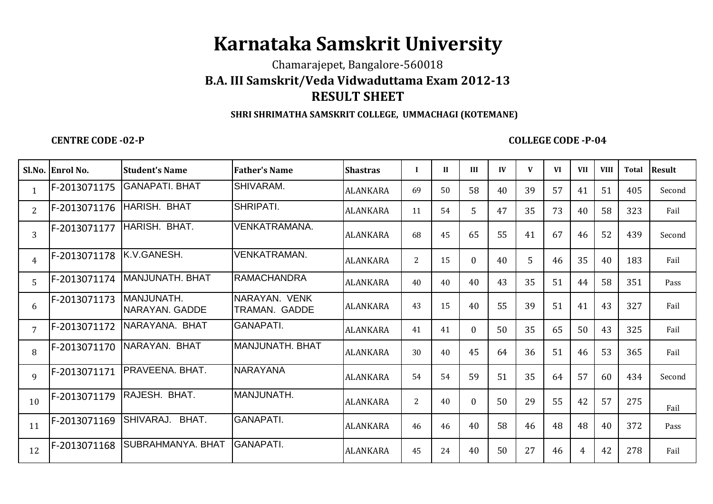## **Karnataka Samskrit University**

Chamarajepet, Bangalore-560018

## **B.A. III Samskrit/Veda Vidwaduttama Exam 2012-13RESULT SHEET**

## **SHRI SHRIMATHA SAMSKRIT COLLEGE, UMMACHAGI (KOTEMANE)**

**CENTRE CODE -02-P**

## **COLLEGE CODE -P-04**

|                | Sl.No. Enrol No. | Student's Name                      | <b>Father's Name</b>           | <b>Shastras</b> | $\bf{I}$       | $\mathbf{I}$ | III            | IV | V  | VI | <b>VII</b>     | <b>VIII</b> | <b>Total</b> | <b>Result</b> |
|----------------|------------------|-------------------------------------|--------------------------------|-----------------|----------------|--------------|----------------|----|----|----|----------------|-------------|--------------|---------------|
| 1              | F-2013071175     | <b>GANAPATI. BHAT</b>               | SHIVARAM.                      | <b>ALANKARA</b> | 69             | 50           | 58             | 40 | 39 | 57 | 41             | 51          | 405          | Second        |
| $\overline{2}$ | F-2013071176     | HARISH. BHAT                        | SHRIPATI.                      | <b>ALANKARA</b> | 11             | 54           | 5              | 47 | 35 | 73 | 40             | 58          | 323          | Fail          |
| 3              | F-2013071177     | HARISH. BHAT.                       | <b>VENKATRAMANA.</b>           | <b>ALANKARA</b> | 68             | 45           | 65             | 55 | 41 | 67 | 46             | 52          | 439          | Second        |
| 4              | F-2013071178     | K.V.GANESH.                         | <b>VENKATRAMAN.</b>            | ALANKARA        | $\overline{2}$ | 15           | $\overline{0}$ | 40 | 5  | 46 | 35             | 40          | 183          | Fail          |
| 5              | F-2013071174     | <b>MANJUNATH, BHAT</b>              | <b>RAMACHANDRA</b>             | ALANKARA        | 40             | 40           | 40             | 43 | 35 | 51 | 44             | 58          | 351          | Pass          |
| 6              | F-2013071173     | MANJUNATH.<br><b>NARAYAN. GADDE</b> | NARAYAN, VENK<br>TRAMAN, GADDE | <b>ALANKARA</b> | 43             | 15           | 40             | 55 | 39 | 51 | 41             | 43          | 327          | Fail          |
| 7              | F-2013071172     | NARAYANA, BHAT                      | <b>GANAPATI.</b>               | <b>ALANKARA</b> | 41             | 41           | $\overline{0}$ | 50 | 35 | 65 | 50             | 43          | 325          | Fail          |
| 8              | F-2013071170     | NARAYAN. BHAT                       | MANJUNATH. BHAT                | <b>ALANKARA</b> | 30             | 40           | 45             | 64 | 36 | 51 | 46             | 53          | 365          | Fail          |
| 9              | F-2013071171     | PRAVEENA, BHAT.                     | <b>NARAYANA</b>                | <b>ALANKARA</b> | 54             | 54           | 59             | 51 | 35 | 64 | 57             | 60          | 434          | Second        |
| 10             | F-2013071179     | RAJESH. BHAT.                       | MANJUNATH.                     | <b>ALANKARA</b> | 2              | 40           | $\mathbf{0}$   | 50 | 29 | 55 | 42             | 57          | 275          | Fail          |
| 11             | F-2013071169     | BHAT.<br>SHIVARAJ.                  | <b>GANAPATI.</b>               | <b>ALANKARA</b> | 46             | 46           | 40             | 58 | 46 | 48 | 48             | 40          | 372          | Pass          |
| 12             | F-2013071168     | SUBRAHMANYA, BHAT                   | <b>GANAPATI.</b>               | <b>ALANKARA</b> | 45             | 24           | 40             | 50 | 27 | 46 | $\overline{4}$ | 42          | 278          | Fail          |